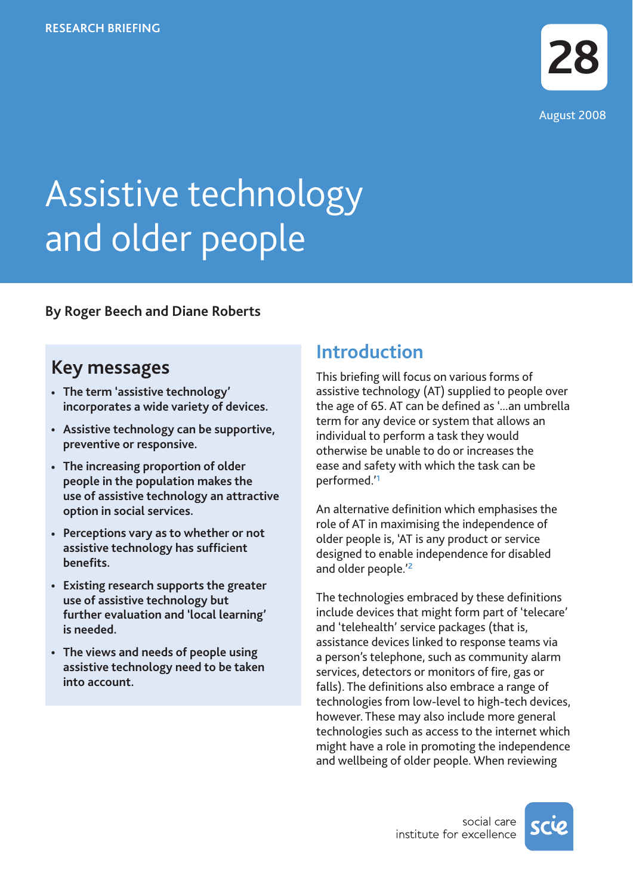# Assistive technology and older people

**By Roger Beech and Diane Roberts**

# **Key messages**

- **• The term 'assistive technology' incorporates a wide variety of devices.**
- **• Assistive technology can be supportive, preventive or responsive.**
- **• The increasing proportion of older people in the population makes the use of assistive technology an attractive option in social services.**
- **• Perceptions vary as to whether or not assistive technology has sufficient benefits.**
- **• Existing research supports the greater use of assistive technology but further evaluation and 'local learning' is needed.**
- **• The views and needs of people using assistive technology need to be taken into account.**

# **Introduction**

This briefing will focus on various forms of assistive technology (AT) supplied to people over the age of 65. AT can be defined as '...an umbrella term for any device or system that allows an individual to perform a task they would otherwise be unable to do or increases the ease and safety with which the task can be performed.'**<sup>1</sup>**

An alternative definition which emphasises the role of AT in maximising the independence of older people is, 'AT is any product or service designed to enable independence for disabled and older people.'**<sup>2</sup>**

The technologies embraced by these definitions include devices that might form part of 'telecare' and 'telehealth' service packages (that is, assistance devices linked to response teams via a person's telephone, such as community alarm services, detectors or monitors of fire, gas or falls). The definitions also embrace a range of technologies from low-level to high-tech devices, however. These may also include more general technologies such as access to the internet which might have a role in promoting the independence and wellbeing of older people. When reviewing

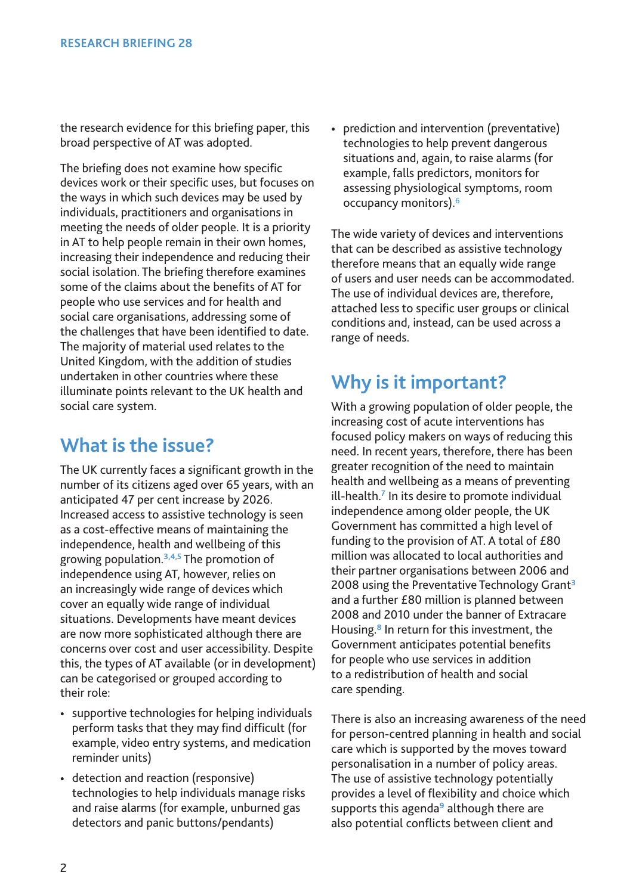the research evidence for this briefing paper, this broad perspective of AT was adopted.

The briefing does not examine how specific devices work or their specific uses, but focuses on the ways in which such devices may be used by individuals, practitioners and organisations in meeting the needs of older people. It is a priority in AT to help people remain in their own homes, increasing their independence and reducing their social isolation. The briefing therefore examines some of the claims about the benefits of AT for people who use services and for health and social care organisations, addressing some of the challenges that have been identified to date. The majority of material used relates to the United Kingdom, with the addition of studies undertaken in other countries where these illuminate points relevant to the UK health and social care system.

# **What is the issue?**

The UK currently faces a significant growth in the number of its citizens aged over 65 years, with an anticipated 47 per cent increase by 2026. Increased access to assistive technology is seen as a cost-effective means of maintaining the independence, health and wellbeing of this growing population.**3,4,5** The promotion of independence using AT, however, relies on an increasingly wide range of devices which cover an equally wide range of individual situations. Developments have meant devices are now more sophisticated although there are concerns over cost and user accessibility. Despite this, the types of AT available (or in development) can be categorised or grouped according to their role:

- supportive technologies for helping individuals perform tasks that they may find difficult (for example, video entry systems, and medication reminder units)
- detection and reaction (responsive) technologies to help individuals manage risks and raise alarms (for example, unburned gas detectors and panic buttons/pendants)

• prediction and intervention (preventative) technologies to help prevent dangerous situations and, again, to raise alarms (for example, falls predictors, monitors for assessing physiological symptoms, room occupancy monitors).6

The wide variety of devices and interventions that can be described as assistive technology therefore means that an equally wide range of users and user needs can be accommodated. The use of individual devices are, therefore, attached less to specific user groups or clinical conditions and, instead, can be used across a range of needs.

# **Why is it important?**

With a growing population of older people, the increasing cost of acute interventions has focused policy makers on ways of reducing this need. In recent years, therefore, there has been greater recognition of the need to maintain health and wellbeing as a means of preventing ill-health.**<sup>7</sup>** In its desire to promote individual independence among older people, the UK Government has committed a high level of funding to the provision of AT. A total of £80 million was allocated to local authorities and their partner organisations between 2006 and 2008 using the Preventative Technology Grant**<sup>3</sup>** and a further £80 million is planned between 2008 and 2010 under the banner of Extracare Housing.**<sup>8</sup>** In return for this investment, the Government anticipates potential benefits for people who use services in addition to a redistribution of health and social care spending.

There is also an increasing awareness of the need for person-centred planning in health and social care which is supported by the moves toward personalisation in a number of policy areas. The use of assistive technology potentially provides a level of flexibility and choice which supports this agenda**<sup>9</sup>** although there are also potential conflicts between client and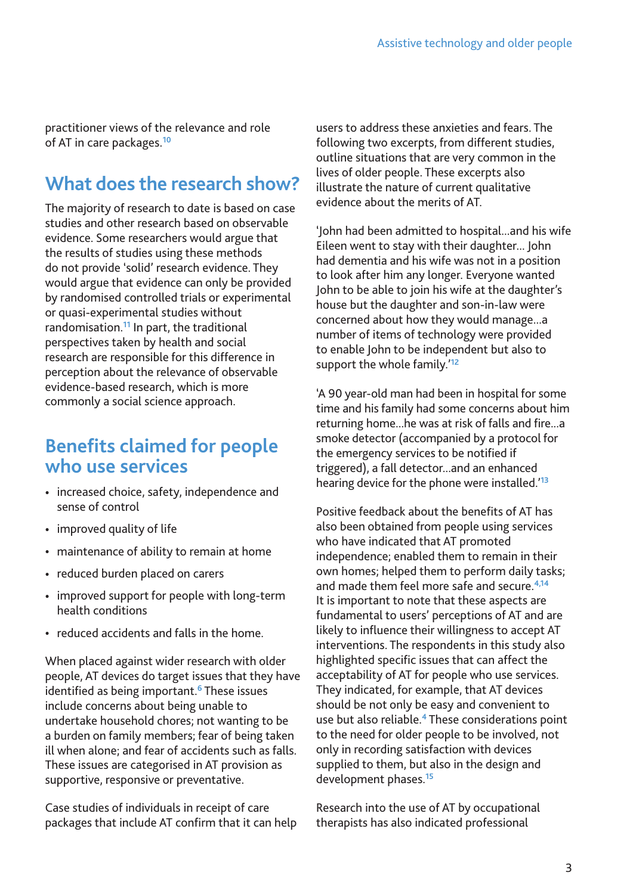practitioner views of the relevance and role of AT in care packages.**<sup>10</sup>**

# **What does the research show?**

The majority of research to date is based on case studies and other research based on observable evidence. Some researchers would argue that the results of studies using these methods do not provide 'solid' research evidence. They would argue that evidence can only be provided by randomised controlled trials or experimental or quasi-experimental studies without randomisation.**<sup>11</sup>** In part, the traditional perspectives taken by health and social research are responsible for this difference in perception about the relevance of observable evidence-based research, which is more commonly a social science approach.

### **Benefits claimed for people who use services**

- increased choice, safety, independence and sense of control
- improved quality of life
- maintenance of ability to remain at home
- reduced burden placed on carers
- improved support for people with long-term health conditions
- reduced accidents and falls in the home.

When placed against wider research with older people, AT devices do target issues that they have identified as being important.**<sup>6</sup>** These issues include concerns about being unable to undertake household chores; not wanting to be a burden on family members; fear of being taken ill when alone; and fear of accidents such as falls. These issues are categorised in AT provision as supportive, responsive or preventative.

Case studies of individuals in receipt of care packages that include AT confirm that it can help users to address these anxieties and fears. The following two excerpts, from different studies, outline situations that are very common in the lives of older people. These excerpts also illustrate the nature of current qualitative evidence about the merits of AT.

'John had been admitted to hospital...and his wife Eileen went to stay with their daughter... John had dementia and his wife was not in a position to look after him any longer. Everyone wanted John to be able to join his wife at the daughter's house but the daughter and son-in-law were concerned about how they would manage...a number of items of technology were provided to enable John to be independent but also to support the whole family.'**<sup>12</sup>**

'A 90 year-old man had been in hospital for some time and his family had some concerns about him returning home...he was at risk of falls and fire...a smoke detector (accompanied by a protocol for the emergency services to be notified if triggered), a fall detector...and an enhanced hearing device for the phone were installed.'**<sup>13</sup>**

Positive feedback about the benefits of AT has also been obtained from people using services who have indicated that AT promoted independence; enabled them to remain in their own homes; helped them to perform daily tasks; and made them feel more safe and secure.**4,14** It is important to note that these aspects are fundamental to users' perceptions of AT and are likely to influence their willingness to accept AT interventions. The respondents in this study also highlighted specific issues that can affect the acceptability of AT for people who use services. They indicated, for example, that AT devices should be not only be easy and convenient to use but also reliable.**<sup>4</sup>** These considerations point to the need for older people to be involved, not only in recording satisfaction with devices supplied to them, but also in the design and development phases.**<sup>15</sup>**

Research into the use of AT by occupational therapists has also indicated professional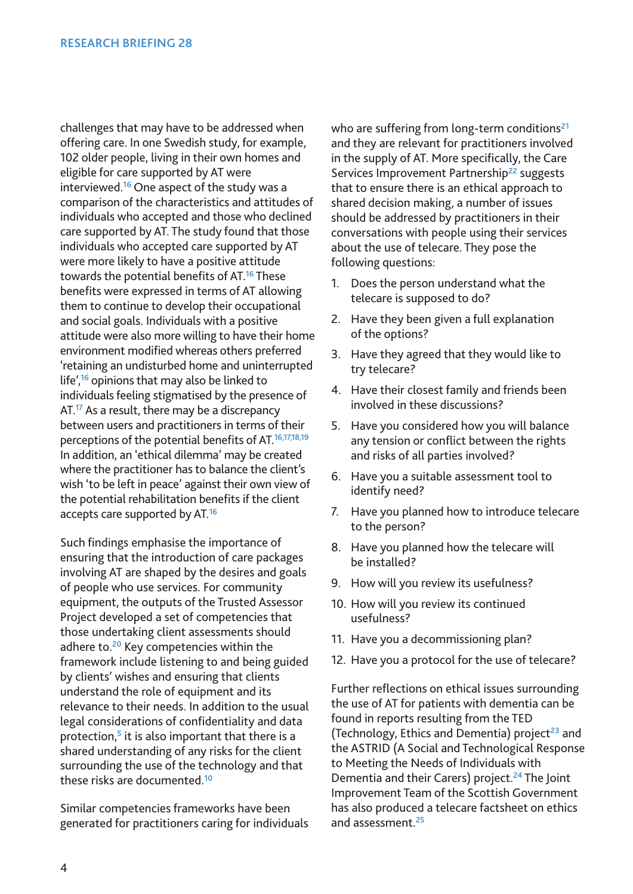challenges that may have to be addressed when offering care. In one Swedish study, for example, 102 older people, living in their own homes and eligible for care supported by AT were interviewed.**<sup>16</sup>** One aspect of the study was a comparison of the characteristics and attitudes of individuals who accepted and those who declined care supported by AT. The study found that those individuals who accepted care supported by AT were more likely to have a positive attitude towards the potential benefits of AT.**<sup>16</sup>** These benefits were expressed in terms of AT allowing them to continue to develop their occupational and social goals. Individuals with a positive attitude were also more willing to have their home environment modified whereas others preferred 'retaining an undisturbed home and uninterrupted life',**<sup>16</sup>** opinions that may also be linked to individuals feeling stigmatised by the presence of AT.**<sup>17</sup>** As a result, there may be a discrepancy between users and practitioners in terms of their perceptions of the potential benefits of AT.**16,17,18,19** In addition, an 'ethical dilemma' may be created where the practitioner has to balance the client's wish 'to be left in peace' against their own view of the potential rehabilitation benefits if the client accepts care supported by AT.**<sup>16</sup>**

Such findings emphasise the importance of ensuring that the introduction of care packages involving AT are shaped by the desires and goals of people who use services. For community equipment, the outputs of the Trusted Assessor Project developed a set of competencies that those undertaking client assessments should adhere to.**<sup>20</sup>** Key competencies within the framework include listening to and being guided by clients' wishes and ensuring that clients understand the role of equipment and its relevance to their needs. In addition to the usual legal considerations of confidentiality and data protection,**<sup>5</sup>** it is also important that there is a shared understanding of any risks for the client surrounding the use of the technology and that these risks are documented.**<sup>10</sup>**

Similar competencies frameworks have been generated for practitioners caring for individuals who are suffering from long-term conditions**<sup>21</sup>** and they are relevant for practitioners involved in the supply of AT. More specifically, the Care Services Improvement Partnership**<sup>22</sup>** suggests that to ensure there is an ethical approach to shared decision making, a number of issues should be addressed by practitioners in their conversations with people using their services about the use of telecare. They pose the following questions:

- 1. Does the person understand what the telecare is supposed to do?
- 2. Have they been given a full explanation of the options?
- 3. Have they agreed that they would like to try telecare?
- 4. Have their closest family and friends been involved in these discussions?
- 5. Have you considered how you will balance any tension or conflict between the rights and risks of all parties involved?
- 6. Have you a suitable assessment tool to identify need?
- 7. Have you planned how to introduce telecare to the person?
- 8. Have you planned how the telecare will be installed?
- 9. How will you review its usefulness?
- 10. How will you review its continued usefulness?
- 11. Have you a decommissioning plan?
- 12. Have you a protocol for the use of telecare?

Further reflections on ethical issues surrounding the use of AT for patients with dementia can be found in reports resulting from the TED (Technology, Ethics and Dementia) project**<sup>23</sup>** and the ASTRID (A Social and Technological Response to Meeting the Needs of Individuals with Dementia and their Carers) project.**<sup>24</sup>** The Joint Improvement Team of the Scottish Government has also produced a telecare factsheet on ethics and assessment.**<sup>25</sup>**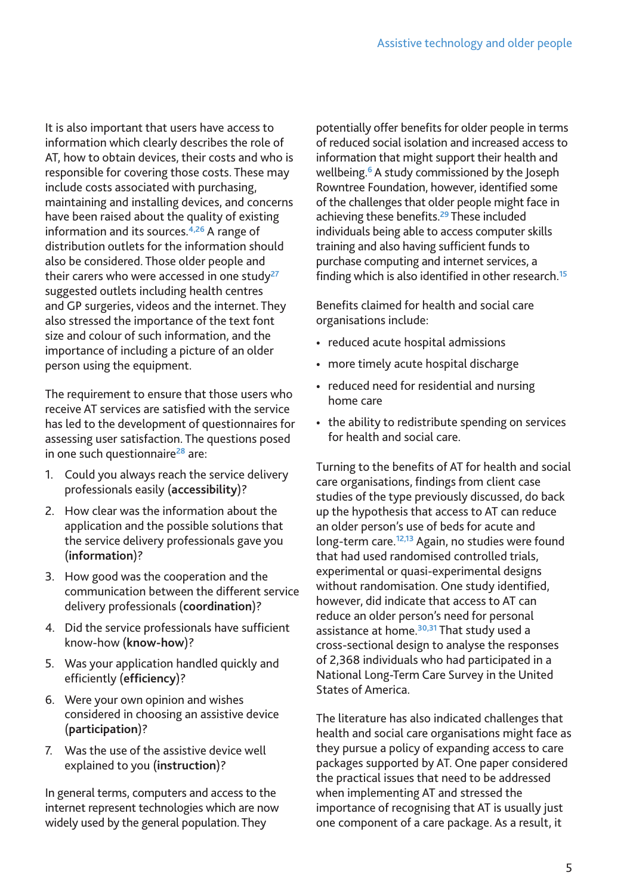It is also important that users have access to information which clearly describes the role of AT, how to obtain devices, their costs and who is responsible for covering those costs. These may include costs associated with purchasing, maintaining and installing devices, and concerns have been raised about the quality of existing information and its sources.**4,26** A range of distribution outlets for the information should also be considered. Those older people and their carers who were accessed in one study**<sup>27</sup>** suggested outlets including health centres and GP surgeries, videos and the internet. They also stressed the importance of the text font size and colour of such information, and the importance of including a picture of an older person using the equipment.

The requirement to ensure that those users who receive AT services are satisfied with the service has led to the development of questionnaires for assessing user satisfaction. The questions posed in one such questionnaire**<sup>28</sup>** are:

- 1. Could you always reach the service delivery professionals easily (**accessibility**)?
- 2. How clear was the information about the application and the possible solutions that the service delivery professionals gave you (**information**)?
- 3. How good was the cooperation and the communication between the different service delivery professionals (**coordination**)?
- 4. Did the service professionals have sufficient know-how (**know-how**)?
- 5. Was your application handled quickly and efficiently (**efficiency**)?
- 6. Were your own opinion and wishes considered in choosing an assistive device (**participation**)?
- 7. Was the use of the assistive device well explained to you (**instruction**)?

In general terms, computers and access to the internet represent technologies which are now widely used by the general population. They

potentially offer benefits for older people in terms of reduced social isolation and increased access to information that might support their health and wellbeing.**<sup>6</sup>** A study commissioned by the Joseph Rowntree Foundation, however, identified some of the challenges that older people might face in achieving these benefits.**<sup>29</sup>** These included individuals being able to access computer skills training and also having sufficient funds to purchase computing and internet services, a finding which is also identified in other research.**<sup>15</sup>**

Benefits claimed for health and social care organisations include:

- reduced acute hospital admissions
- more timely acute hospital discharge
- reduced need for residential and nursing home care
- the ability to redistribute spending on services for health and social care.

Turning to the benefits of AT for health and social care organisations, findings from client case studies of the type previously discussed, do back up the hypothesis that access to AT can reduce an older person's use of beds for acute and long-term care.**12,13** Again, no studies were found that had used randomised controlled trials, experimental or quasi-experimental designs without randomisation. One study identified, however, did indicate that access to AT can reduce an older person's need for personal assistance at home.**30,31** That study used a cross-sectional design to analyse the responses of 2,368 individuals who had participated in a National Long-Term Care Survey in the United States of America.

The literature has also indicated challenges that health and social care organisations might face as they pursue a policy of expanding access to care packages supported by AT. One paper considered the practical issues that need to be addressed when implementing AT and stressed the importance of recognising that AT is usually just one component of a care package. As a result, it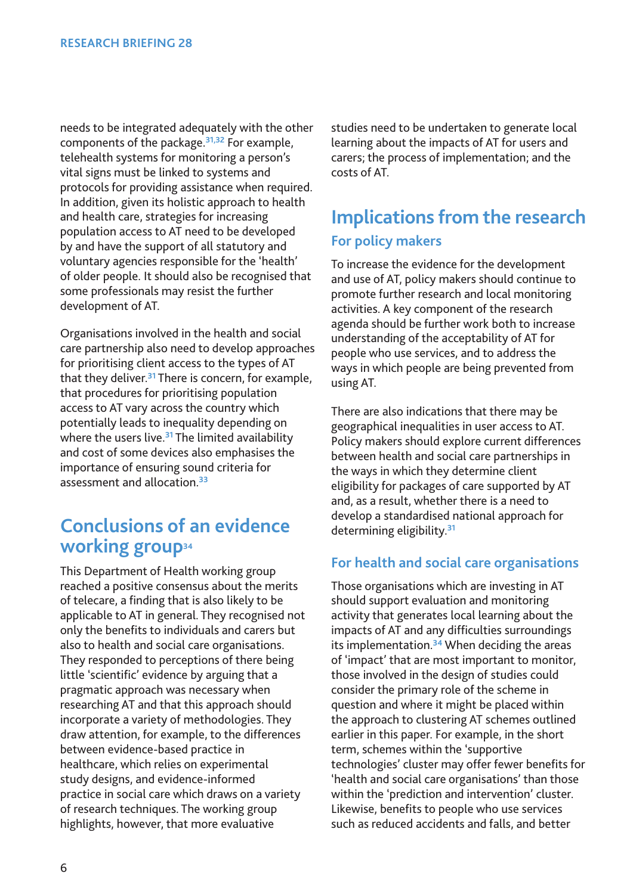needs to be integrated adequately with the other components of the package.**31,32** For example, telehealth systems for monitoring a person's vital signs must be linked to systems and protocols for providing assistance when required. In addition, given its holistic approach to health and health care, strategies for increasing population access to AT need to be developed by and have the support of all statutory and voluntary agencies responsible for the 'health' of older people. It should also be recognised that some professionals may resist the further development of AT.

Organisations involved in the health and social care partnership also need to develop approaches for prioritising client access to the types of AT that they deliver.**<sup>31</sup>** There is concern, for example, that procedures for prioritising population access to AT vary across the country which potentially leads to inequality depending on where the users live.**<sup>31</sup>** The limited availability and cost of some devices also emphasises the importance of ensuring sound criteria for assessment and allocation.**<sup>33</sup>**

### **Conclusions of an evidence working group34**

This Department of Health working group reached a positive consensus about the merits of telecare, a finding that is also likely to be applicable to AT in general. They recognised not only the benefits to individuals and carers but also to health and social care organisations. They responded to perceptions of there being little 'scientific' evidence by arguing that a pragmatic approach was necessary when researching AT and that this approach should incorporate a variety of methodologies. They draw attention, for example, to the differences between evidence-based practice in healthcare, which relies on experimental study designs, and evidence-informed practice in social care which draws on a variety of research techniques. The working group highlights, however, that more evaluative

studies need to be undertaken to generate local learning about the impacts of AT for users and carers; the process of implementation; and the costs of AT.

# **Implications from the research For policy makers**

To increase the evidence for the development and use of AT, policy makers should continue to promote further research and local monitoring activities. A key component of the research agenda should be further work both to increase understanding of the acceptability of AT for people who use services, and to address the ways in which people are being prevented from using AT.

There are also indications that there may be geographical inequalities in user access to AT. Policy makers should explore current differences between health and social care partnerships in the ways in which they determine client eligibility for packages of care supported by AT and, as a result, whether there is a need to develop a standardised national approach for determining eligibility.**<sup>31</sup>**

#### **For health and social care organisations**

Those organisations which are investing in AT should support evaluation and monitoring activity that generates local learning about the impacts of AT and any difficulties surroundings its implementation.**<sup>34</sup>** When deciding the areas of 'impact' that are most important to monitor, those involved in the design of studies could consider the primary role of the scheme in question and where it might be placed within the approach to clustering AT schemes outlined earlier in this paper. For example, in the short term, schemes within the 'supportive technologies' cluster may offer fewer benefits for 'health and social care organisations' than those within the 'prediction and intervention' cluster. Likewise, benefits to people who use services such as reduced accidents and falls, and better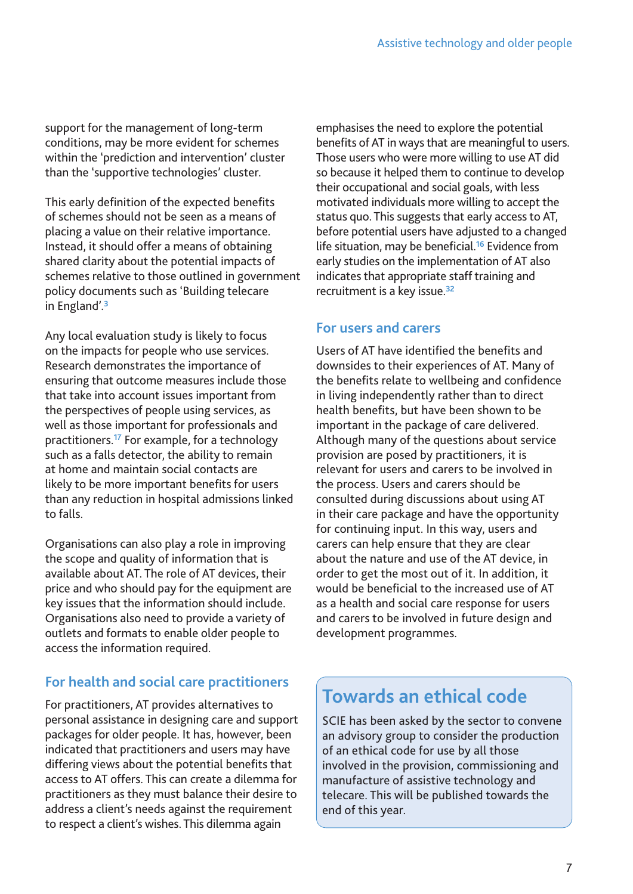support for the management of long-term conditions, may be more evident for schemes within the 'prediction and intervention' cluster than the 'supportive technologies' cluster.

This early definition of the expected benefits of schemes should not be seen as a means of placing a value on their relative importance. Instead, it should offer a means of obtaining shared clarity about the potential impacts of schemes relative to those outlined in government policy documents such as 'Building telecare in England'.**<sup>3</sup>**

Any local evaluation study is likely to focus on the impacts for people who use services. Research demonstrates the importance of ensuring that outcome measures include those that take into account issues important from the perspectives of people using services, as well as those important for professionals and practitioners.**<sup>17</sup>** For example, for a technology such as a falls detector, the ability to remain at home and maintain social contacts are likely to be more important benefits for users than any reduction in hospital admissions linked to falls.

Organisations can also play a role in improving the scope and quality of information that is available about AT. The role of AT devices, their price and who should pay for the equipment are key issues that the information should include. Organisations also need to provide a variety of outlets and formats to enable older people to access the information required.

#### **For health and social care practitioners**

For practitioners, AT provides alternatives to personal assistance in designing care and support packages for older people. It has, however, been indicated that practitioners and users may have differing views about the potential benefits that access to AT offers. This can create a dilemma for practitioners as they must balance their desire to address a client's needs against the requirement to respect a client's wishes. This dilemma again

emphasises the need to explore the potential benefits of AT in ways that are meaningful to users. Those users who were more willing to use AT did so because it helped them to continue to develop their occupational and social goals, with less motivated individuals more willing to accept the status quo. This suggests that early access to AT, before potential users have adjusted to a changed life situation, may be beneficial.**<sup>16</sup>** Evidence from early studies on the implementation of AT also indicates that appropriate staff training and recruitment is a key issue.**<sup>32</sup>**

#### **For users and carers**

Users of AT have identified the benefits and downsides to their experiences of AT. Many of the benefits relate to wellbeing and confidence in living independently rather than to direct health benefits, but have been shown to be important in the package of care delivered. Although many of the questions about service provision are posed by practitioners, it is relevant for users and carers to be involved in the process. Users and carers should be consulted during discussions about using AT in their care package and have the opportunity for continuing input. In this way, users and carers can help ensure that they are clear about the nature and use of the AT device, in order to get the most out of it. In addition, it would be beneficial to the increased use of AT as a health and social care response for users and carers to be involved in future design and development programmes.

# **Towards an ethical code**

SCIE has been asked by the sector to convene an advisory group to consider the production of an ethical code for use by all those involved in the provision, commissioning and manufacture of assistive technology and telecare. This will be published towards the end of this year.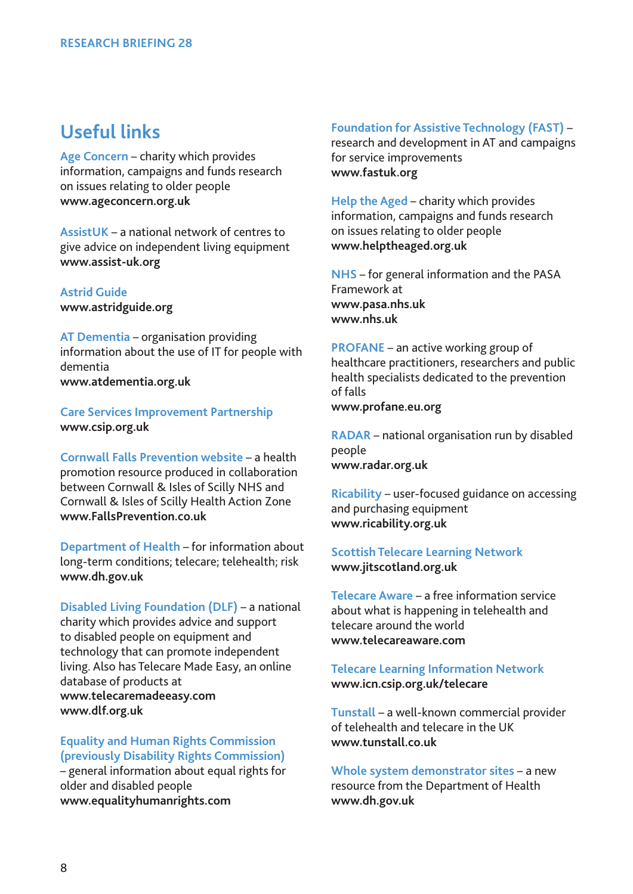### **Useful links**

**Age Concern** – charity which provides information, campaigns and funds research on issues relating to older people **www.ageconcern.org.uk**

**AssistUK** – a national network of centres to give advice on independent living equipment **www.assist-uk.org**

**Astrid Guide www.astridguide.org**

**AT Dementia** – organisation providing information about the use of IT for people with dementia **www.atdementia.org.uk**

**Care Services Improvement Partnership www.csip.org.uk**

**Cornwall Falls Prevention website** – a health promotion resource produced in collaboration between Cornwall & Isles of Scilly NHS and Cornwall & Isles of Scilly Health Action Zone **www.FallsPrevention.co.uk**

**Department of Health** – for information about long-term conditions; telecare; telehealth; risk **www.dh.gov.uk**

**Disabled Living Foundation (DLF)** – a national charity which provides advice and support to disabled people on equipment and technology that can promote independent living. Also has Telecare Made Easy, an online database of products at **www.telecaremadeeasy.com www.dlf.org.uk**

**Equality and Human Rights Commission (previously Disability Rights Commission)**

– general information about equal rights for older and disabled people **www.equalityhumanrights.com**

**Foundation for Assistive Technology (FAST)** –

research and development in AT and campaigns for service improvements **www.fastuk.org**

**Help the Aged** – charity which provides information, campaigns and funds research on issues relating to older people **www.helptheaged.org.uk**

**NHS** – for general information and the PASA Framework at **www.pasa.nhs.uk www.nhs.uk**

**PROFANE** – an active working group of healthcare practitioners, researchers and public health specialists dedicated to the prevention of falls **www.profane.eu.org**

**RADAR** – national organisation run by disabled people **www.radar.org.uk**

**Ricability** – user-focused guidance on accessing and purchasing equipment **www.ricability.org.uk**

#### **Scottish Telecare Learning Network www.jitscotland.org.uk**

**Telecare Aware** – a free information service about what is happening in telehealth and telecare around the world **www.telecareaware.com**

**Telecare Learning Information Network www.icn.csip.org.uk/telecare**

**Tunstall** – a well-known commercial provider of telehealth and telecare in the UK **www.tunstall.co.uk**

**Whole system demonstrator sites** – a new resource from the Department of Health **www.dh.gov.uk**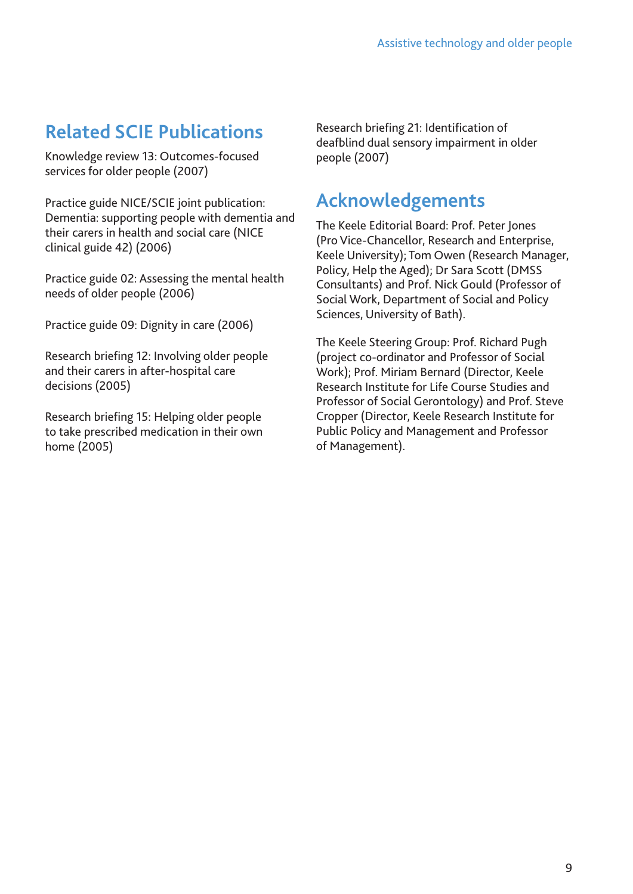# **Related SCIE Publications**

Knowledge review 13: Outcomes-focused services for older people (2007)

Practice guide NICE/SCIE joint publication: Dementia: supporting people with dementia and their carers in health and social care (NICE clinical guide 42) (2006)

Practice guide 02: Assessing the mental health needs of older people (2006)

Practice guide 09: Dignity in care (2006)

Research briefing 12: Involving older people and their carers in after-hospital care decisions (2005)

Research briefing 15: Helping older people to take prescribed medication in their own home (2005)

Research briefing 21: Identification of deafblind dual sensory impairment in older people (2007)

# **Acknowledgements**

The Keele Editorial Board: Prof. Peter Jones (Pro Vice-Chancellor, Research and Enterprise, Keele University); Tom Owen (Research Manager, Policy, Help the Aged); Dr Sara Scott (DMSS Consultants) and Prof. Nick Gould (Professor of Social Work, Department of Social and Policy Sciences, University of Bath).

The Keele Steering Group: Prof. Richard Pugh (project co-ordinator and Professor of Social Work); Prof. Miriam Bernard (Director, Keele Research Institute for Life Course Studies and Professor of Social Gerontology) and Prof. Steve Cropper (Director, Keele Research Institute for Public Policy and Management and Professor of Management).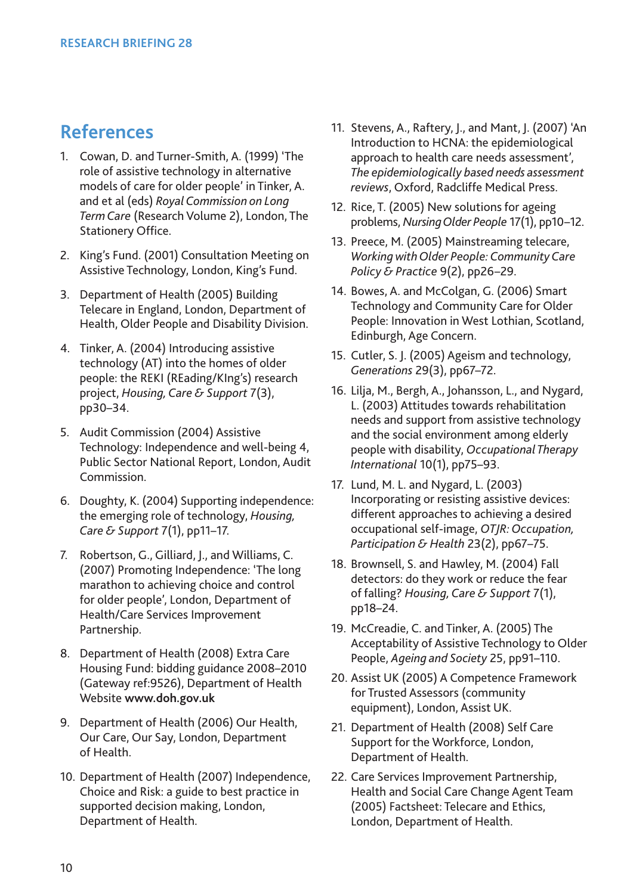# **References**

- 1. Cowan, D. and Turner-Smith, A. (1999) 'The role of assistive technology in alternative models of care for older people' in Tinker, A. and et al (eds) *Royal Commission on Long Term Care* (Research Volume 2), London, The Stationery Office.
- 2. King's Fund. (2001) Consultation Meeting on Assistive Technology, London, King's Fund.
- 3. Department of Health (2005) Building Telecare in England, London, Department of Health, Older People and Disability Division.
- 4. Tinker, A. (2004) Introducing assistive technology (AT) into the homes of older people: the REKI (REading/KIng's) research project, *Housing, Care & Support* 7(3), pp30–34.
- 5. Audit Commission (2004) Assistive Technology: Independence and well-being 4, Public Sector National Report, London, Audit Commission.
- 6. Doughty, K. (2004) Supporting independence: the emerging role of technology, *Housing, Care & Support* 7(1), pp11–17.
- 7. Robertson, G., Gilliard, J., and Williams, C. (2007) Promoting Independence: 'The long marathon to achieving choice and control for older people', London, Department of Health/Care Services Improvement Partnership.
- 8. Department of Health (2008) Extra Care Housing Fund: bidding guidance 2008–2010 (Gateway ref:9526), Department of Health Website **www.doh.gov.uk**
- 9. Department of Health (2006) Our Health, Our Care, Our Say, London, Department of Health.
- 10. Department of Health (2007) Independence, Choice and Risk: a guide to best practice in supported decision making, London, Department of Health.
- 11. Stevens, A., Raftery, J., and Mant, J. (2007) 'An Introduction to HCNA: the epidemiological approach to health care needs assessment', *The epidemiologically based needs assessment reviews*, Oxford, Radcliffe Medical Press.
- 12. Rice, T. (2005) New solutions for ageing problems, *Nursing Older People* 17(1), pp10–12.
- 13. Preece, M. (2005) Mainstreaming telecare, *Working with Older People: Community Care Policy & Practice* 9(2), pp26–29.
- 14. Bowes, A. and McColgan, G. (2006) Smart Technology and Community Care for Older People: Innovation in West Lothian, Scotland, Edinburgh, Age Concern.
- 15. Cutler, S. J. (2005) Ageism and technology, *Generations* 29(3), pp67–72.
- 16. Lilja, M., Bergh, A., Johansson, L., and Nygard, L. (2003) Attitudes towards rehabilitation needs and support from assistive technology and the social environment among elderly people with disability, *Occupational Therapy International* 10(1), pp75–93.
- 17. Lund, M. L. and Nygard, L. (2003) Incorporating or resisting assistive devices: different approaches to achieving a desired occupational self-image, *OTJR: Occupation, Participation & Health* 23(2), pp67–75.
- 18. Brownsell, S. and Hawley, M. (2004) Fall detectors: do they work or reduce the fear of falling? *Housing, Care & Support* 7(1), pp18–24.
- 19. McCreadie, C. and Tinker, A. (2005) The Acceptability of Assistive Technology to Older People, *Ageing and Society* 25, pp91–110.
- 20. Assist UK (2005) A Competence Framework for Trusted Assessors (community equipment), London, Assist UK.
- 21. Department of Health (2008) Self Care Support for the Workforce, London, Department of Health.
- 22. Care Services Improvement Partnership, Health and Social Care Change Agent Team (2005) Factsheet: Telecare and Ethics, London, Department of Health.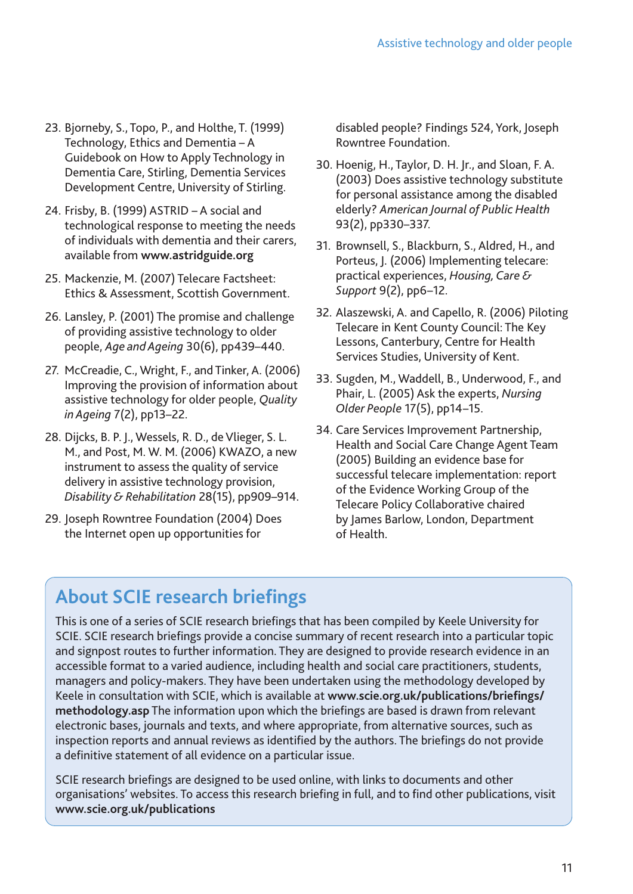- 23. Bjorneby, S., Topo, P., and Holthe, T. (1999) Technology, Ethics and Dementia – A Guidebook on How to Apply Technology in Dementia Care, Stirling, Dementia Services Development Centre, University of Stirling.
- 24. Frisby, B. (1999) ASTRID A social and technological response to meeting the needs of individuals with dementia and their carers, available from **www.astridguide.org**
- 25. Mackenzie, M. (2007) Telecare Factsheet: Ethics & Assessment, Scottish Government.
- 26. Lansley, P. (2001) The promise and challenge of providing assistive technology to older people, *Age and Ageing* 30(6), pp439–440.
- 27. McCreadie, C., Wright, F., and Tinker, A. (2006) Improving the provision of information about assistive technology for older people, *Quality in Ageing* 7(2), pp13–22.
- 28. Dijcks, B. P. J., Wessels, R. D., de Vlieger, S. L. M., and Post, M. W. M. (2006) KWAZO, a new instrument to assess the quality of service delivery in assistive technology provision, *Disability & Rehabilitation* 28(15), pp909–914.
- 29. Joseph Rowntree Foundation (2004) Does the Internet open up opportunities for

disabled people? Findings 524, York, Joseph Rowntree Foundation.

- 30. Hoenig, H., Taylor, D. H. Jr., and Sloan, F. A. (2003) Does assistive technology substitute for personal assistance among the disabled elderly? *American Journal of Public Health* 93(2), pp330–337.
- 31. Brownsell, S., Blackburn, S., Aldred, H., and Porteus, J. (2006) Implementing telecare: practical experiences, *Housing, Care & Support* 9(2), pp6–12.
- 32. Alaszewski, A. and Capello, R. (2006) Piloting Telecare in Kent County Council: The Key Lessons, Canterbury, Centre for Health Services Studies, University of Kent.
- 33. Sugden, M., Waddell, B., Underwood, F., and Phair, L. (2005) Ask the experts, *Nursing Older People* 17(5), pp14–15.
- 34. Care Services Improvement Partnership, Health and Social Care Change Agent Team (2005) Building an evidence base for successful telecare implementation: report of the Evidence Working Group of the Telecare Policy Collaborative chaired by James Barlow, London, Department of Health.

# **About SCIE research briefings**

This is one of a series of SCIE research briefings that has been compiled by Keele University for SCIE. SCIE research briefings provide a concise summary of recent research into a particular topic and signpost routes to further information. They are designed to provide research evidence in an accessible format to a varied audience, including health and social care practitioners, students, managers and policy-makers. They have been undertaken using the methodology developed by Keele in consultation with SCIE, which is available at **www.scie.org.uk/publications/briefings/ methodology.asp** The information upon which the briefings are based is drawn from relevant electronic bases, journals and texts, and where appropriate, from alternative sources, such as inspection reports and annual reviews as identified by the authors. The briefings do not provide a definitive statement of all evidence on a particular issue.

SCIE research briefings are designed to be used online, with links to documents and other organisations' websites. To access this research briefing in full, and to find other publications, visit **www.scie.org.uk/publications**